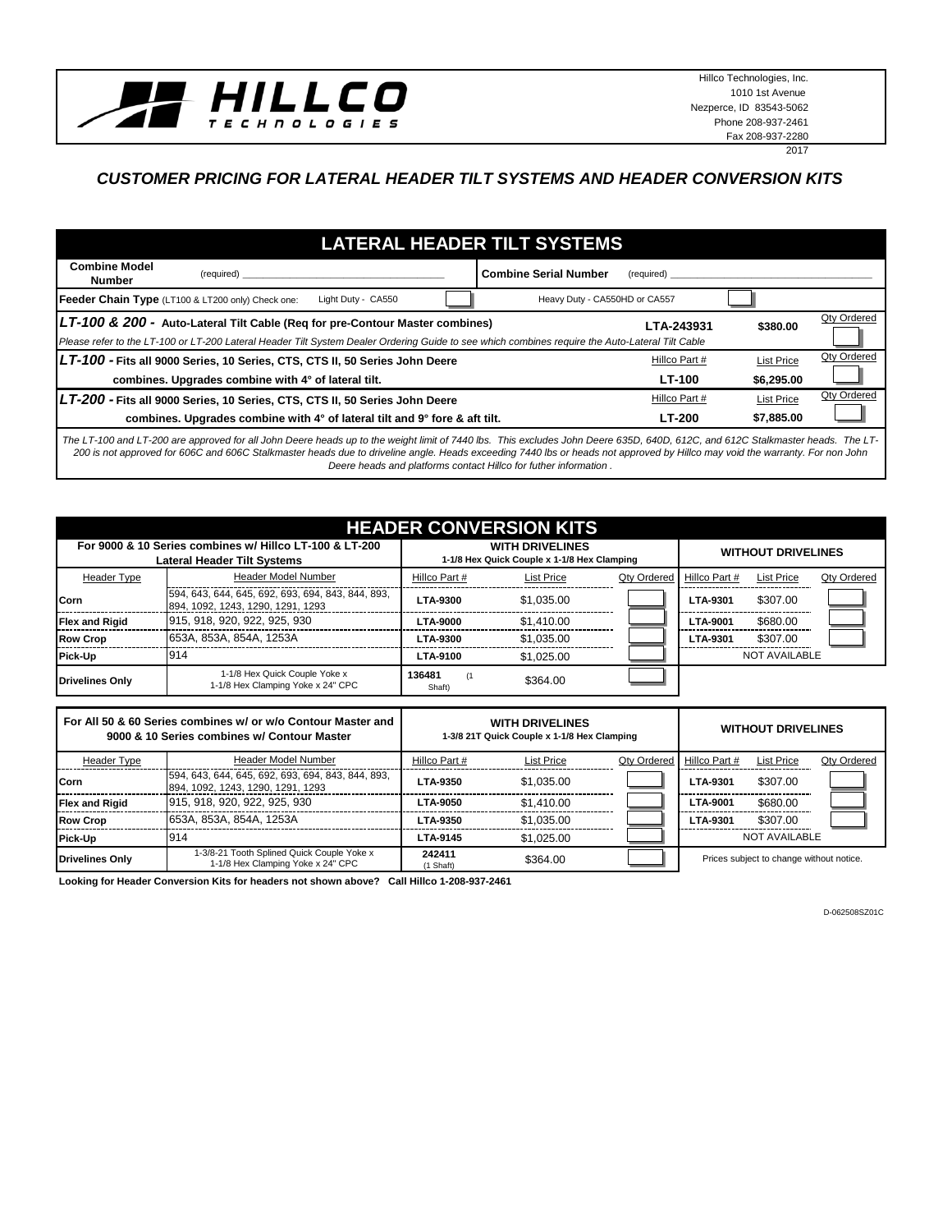

Hillco Technologies, Inc. 1010 1st Avenue Nezperce, ID 83543-5062 Phone 208-937-2461 Fax 208-937-2280

### 2017

## *CUSTOMER PRICING FOR LATERAL HEADER TILT SYSTEMS AND HEADER CONVERSION KITS*

#### **Combine Model Number Combine Serial Number** (required) **Combine Serial Number** (required) **\_\_\_\_\_\_\_\_\_\_\_\_\_\_\_\_\_\_\_\_\_\_\_\_\_\_\_ \$380.00** Qty Ordered *Please refer to the LT-100 or LT-200 Lateral Header Tilt System Dealer Ordering Guide to see which combines require the Auto-Lateral Tilt Cable* List Price Qty Ordered **\$6,295.00** List Price Qty Ordered **\$7,885.00 combines. Upgrades combine with 4° of lateral tilt and 9° fore & aft tilt. LT-200** *LT-100 -* Fits all 9000 Series, 10 Series, CTS, CTS II, 50 Series John Deere Hillco Part # Hillco Part #  **combines. Upgrades combine with 4° of lateral tilt. LT-100**  $LT$ -200 - Fits all 9000 Series, 10 Series, CTS, CTS II, 50 Series John Deere **Hillco Part #** Hillco Part # *LT-100 & 200 -* **Auto-Lateral Tilt Cable (Req for pre-Contour Master combines) LTA-243931 LATERAL HEADER TILT SYSTEMS Feeder Chain Type** (LT100 & LT200 only) Check one: Light Duty - CA550 **Heavy Duty - CA550HD** or CA557

*The LT-100 and LT-200 are approved for all John Deere heads up to the weight limit of 7440 lbs. This excludes John Deere 635D, 640D, 612C, and 612C Stalkmaster heads. The LT-200 is not approved for 606C and 606C Stalkmaster heads due to driveline angle. Heads exceeding 7440 lbs or heads not approved by Hillco may void the warranty. For non John Deere heads and platforms contact Hillco for futher information .*

|                        | <b>HEADER CONVERSION KITS</b>                                                                 |                  |                                                                       |             |                 |                           |             |  |  |  |  |  |  |  |  |
|------------------------|-----------------------------------------------------------------------------------------------|------------------|-----------------------------------------------------------------------|-------------|-----------------|---------------------------|-------------|--|--|--|--|--|--|--|--|
|                        | For 9000 & 10 Series combines w/ Hillco LT-100 & LT-200<br><b>Lateral Header Tilt Systems</b> |                  | <b>WITH DRIVELINES</b><br>1-1/8 Hex Quick Couple x 1-1/8 Hex Clamping |             |                 | <b>WITHOUT DRIVELINES</b> |             |  |  |  |  |  |  |  |  |
| <b>Header Type</b>     | Header Model Number                                                                           | Hillco Part #    | List Price                                                            | Qty Ordered | Hillco Part #   | <b>List Price</b>         | Qty Ordered |  |  |  |  |  |  |  |  |
| <b>ICorn</b>           | 594, 643, 644, 645, 692, 693, 694, 843, 844, 893,<br>894, 1092, 1243, 1290, 1291, 1293        | <b>LTA-9300</b>  | \$1.035.00                                                            |             | LTA-9301        | \$307.00                  |             |  |  |  |  |  |  |  |  |
| <b>Flex and Rigid</b>  | 915, 918, 920, 922, 925, 930                                                                  | <b>LTA-9000</b>  | \$1.410.00                                                            |             | <b>LTA-9001</b> | \$680.00                  |             |  |  |  |  |  |  |  |  |
| <b>Row Crop</b>        | 653A, 853A, 854A, 1253A                                                                       | LTA-9300         | \$1.035.00                                                            |             | LTA-9301        | \$307.00                  |             |  |  |  |  |  |  |  |  |
| Pick-Up                | 914                                                                                           | LTA-9100         | \$1.025.00                                                            |             |                 | <b>NOT AVAILABLE</b>      |             |  |  |  |  |  |  |  |  |
| <b>Drivelines Only</b> | 1-1/8 Hex Quick Couple Yoke x<br>1-1/8 Hex Clamping Yoke x 24" CPC                            | 136481<br>Shaft) | \$364.00                                                              |             |                 |                           |             |  |  |  |  |  |  |  |  |

|                       | For All 50 & 60 Series combines w/ or w/o Contour Master and<br>9000 & 10 Series combines w/ Contour Master |                     | <b>WITH DRIVELINES</b><br>1-3/8 21T Quick Couple x 1-1/8 Hex Clamping | <b>WITHOUT DRIVELINES</b> |                 |                                          |             |  |  |  |  |  |
|-----------------------|-------------------------------------------------------------------------------------------------------------|---------------------|-----------------------------------------------------------------------|---------------------------|-----------------|------------------------------------------|-------------|--|--|--|--|--|
| <b>Header Type</b>    | Header Model Number                                                                                         | Hillco Part #       | List Price                                                            | <b>Qty Ordered</b>        | Hillco Part #   | <b>List Price</b>                        | Qty Ordered |  |  |  |  |  |
| <b>I</b> Corn         | 594, 643, 644, 645, 692, 693, 694, 843, 844, 893,<br>894, 1092, 1243, 1290, 1291, 1293                      | LTA-9350            | \$1.035.00                                                            |                           | LTA-9301        | \$307.00                                 |             |  |  |  |  |  |
| <b>Flex and Rigid</b> | 915, 918, 920, 922, 925, 930                                                                                | <b>LTA-9050</b>     | \$1,410.00                                                            |                           | <b>LTA-9001</b> | \$680.00                                 |             |  |  |  |  |  |
| <b>Row Crop</b>       | 653A, 853A, 854A, 1253A                                                                                     | LTA-9350            | \$1.035.00                                                            |                           | LTA-9301        | \$307.00                                 |             |  |  |  |  |  |
| Pick-Up               | 914                                                                                                         | LTA-9145            | \$1,025.00                                                            |                           |                 | <b>NOT AVAILABLE</b>                     |             |  |  |  |  |  |
| Drivelines Only       | 1-3/8-21 Tooth Splined Quick Couple Yoke x<br>1-1/8 Hex Clamping Yoke x 24" CPC                             | 242411<br>(1 Shaft) | \$364.00                                                              |                           |                 | Prices subject to change without notice. |             |  |  |  |  |  |

**Looking for Header Conversion Kits for headers not shown above? Call Hillco 1-208-937-2461**

D-062508SZ01C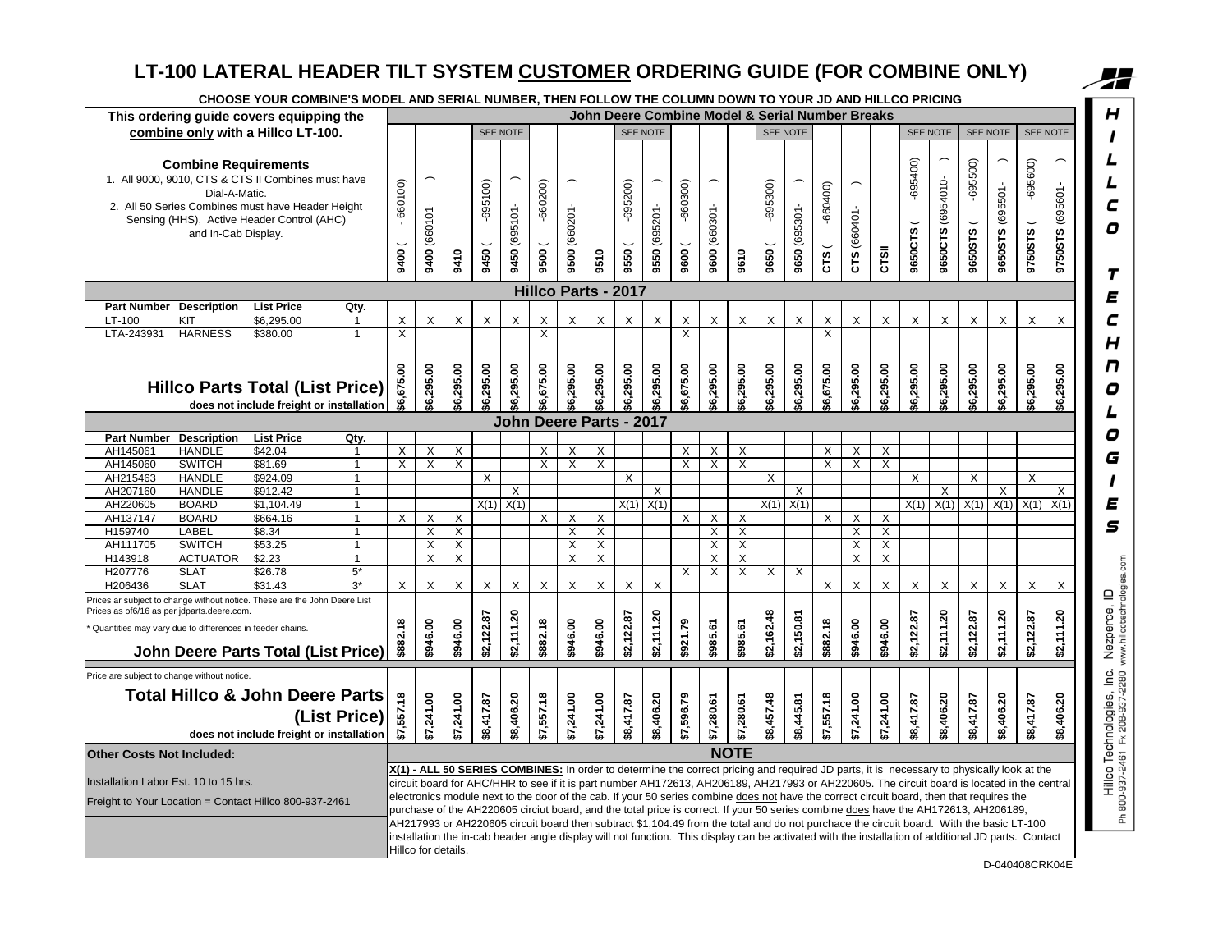# **LT-100 LATERAL HEADER TILT SYSTEM CUSTOMER ORDERING GUIDE (FOR COMBINE ONLY)**

|                                  |                                                                                                        | LT-100 LATERAL HEADER TILT SYSTEM CUSTOMER ORDERING GUIDE (FOR COMBINE ONLY)                                                                          |                |                 |                     |                           |                 |               |                         |                         |                         |                            |               |                    |                |                           |                     |                |                             |                                                 |                         |                        |                   |                       |                                                                                                                                                                                                                                                                                                                                                                                                                                 |                      |                  |
|----------------------------------|--------------------------------------------------------------------------------------------------------|-------------------------------------------------------------------------------------------------------------------------------------------------------|----------------|-----------------|---------------------|---------------------------|-----------------|---------------|-------------------------|-------------------------|-------------------------|----------------------------|---------------|--------------------|----------------|---------------------------|---------------------|----------------|-----------------------------|-------------------------------------------------|-------------------------|------------------------|-------------------|-----------------------|---------------------------------------------------------------------------------------------------------------------------------------------------------------------------------------------------------------------------------------------------------------------------------------------------------------------------------------------------------------------------------------------------------------------------------|----------------------|------------------|
|                                  |                                                                                                        | CHOOSE YOUR COMBINE'S MODEL AND SERIAL NUMBER, THEN FOLLOW THE COLUMN DOWN TO YOUR JD AND HILLCO PRICING                                              |                |                 |                     |                           |                 |               |                         |                         |                         |                            |               |                    |                |                           |                     |                |                             | John Deere Combine Model & Serial Number Breaks |                         |                        |                   |                       |                                                                                                                                                                                                                                                                                                                                                                                                                                 |                      |                  |
|                                  |                                                                                                        | This ordering guide covers equipping the                                                                                                              |                |                 |                     |                           |                 |               |                         |                         |                         |                            |               |                    |                |                           |                     |                |                             |                                                 |                         |                        |                   |                       |                                                                                                                                                                                                                                                                                                                                                                                                                                 |                      |                  |
|                                  |                                                                                                        | combine only with a Hillco LT-100.                                                                                                                    |                |                 |                     |                           |                 | SEE NOTE      |                         |                         |                         |                            | SEE NOTE      |                    |                |                           |                     | SEE NOTE       |                             |                                                 |                         |                        | SEE NOTE          |                       | SEE NOTE                                                                                                                                                                                                                                                                                                                                                                                                                        |                      | SEE NOTE         |
|                                  | <b>Combine Requirements</b><br>Dial-A-Matic.<br>and In-Cab Display.                                    | 1. All 9000, 9010, CTS & CTS II Combines must have<br>2. All 50 Series Combines must have Header Height<br>Sensing (HHS), Active Header Control (AHC) |                | 660100)<br>9400 | 9400 (660101        | 9410                      | 695100)<br>9450 | 9450 (695101- | $-660200$<br>9500       | 9500 (660201-           | 9510                    | $-695200$<br>9550          | 9550 (695201- | $-660300$<br>9600( | 9600 (660301-  | 9610                      | $-695300$<br>9650 ( | 9650 (695301-  | $-660400$<br>$\overline{c}$ | CTS (660401-                                    | CTSII                   | $-695400$<br>9650CTS ( | 9650CTS (6954010- | $-695500$<br>9650STS( | 9650STS (695501-                                                                                                                                                                                                                                                                                                                                                                                                                | $-695600$<br>9750STS | 9750STS (695601- |
|                                  |                                                                                                        |                                                                                                                                                       |                |                 |                     |                           |                 |               |                         |                         |                         | <b>Hillco Parts - 2017</b> |               |                    |                |                           |                     |                |                             |                                                 |                         |                        |                   |                       |                                                                                                                                                                                                                                                                                                                                                                                                                                 |                      |                  |
| <b>Part Number</b>               | <b>Description</b>                                                                                     | <b>List Price</b>                                                                                                                                     | Qty.           |                 |                     |                           |                 |               |                         |                         |                         |                            |               |                    |                |                           |                     |                |                             |                                                 |                         |                        |                   |                       |                                                                                                                                                                                                                                                                                                                                                                                                                                 |                      |                  |
| LT-100                           | KIT                                                                                                    | \$6,295.00                                                                                                                                            | $\mathbf{1}$   | X               | X                   | X                         | X               | X             | X                       | X                       | X                       | X                          | X             | X                  | X              | X                         | X                   | X              | X                           | X                                               | X                       | X                      | X                 | X                     | X                                                                                                                                                                                                                                                                                                                                                                                                                               | X                    | X                |
| LTA-243931                       | <b>HARNESS</b>                                                                                         | \$380.00                                                                                                                                              |                | $\overline{X}$  |                     |                           |                 |               | $\overline{\mathsf{x}}$ |                         |                         |                            |               | $\overline{X}$     |                |                           |                     |                | $\overline{X}$              |                                                 |                         |                        |                   |                       |                                                                                                                                                                                                                                                                                                                                                                                                                                 |                      |                  |
|                                  |                                                                                                        | <b>Hillco Parts Total (List Price)</b><br>does not include freight or installation                                                                    |                | \$6,675.00      | \$6,295.00          | \$6,295.00                | \$6,295.00      | \$6,295.00    | \$6,675.00              | \$6,295.00              | \$6,295.00              | \$6,295.00                 | \$6,295.00    | \$6,675.00         | \$6,295.00     | \$6,295.00                | \$6,295.00          | \$6,295.00     | \$6,675.00                  | \$6,295.00                                      | \$6,295.00              | \$6,295.00             | \$6,295.00        | \$6,295.00            | \$6,295.00                                                                                                                                                                                                                                                                                                                                                                                                                      | \$6,295.00           | \$6,295.00       |
|                                  |                                                                                                        |                                                                                                                                                       |                |                 |                     |                           |                 |               |                         |                         |                         | John Deere Parts - 2017    |               |                    |                |                           |                     |                |                             |                                                 |                         |                        |                   |                       |                                                                                                                                                                                                                                                                                                                                                                                                                                 |                      |                  |
|                                  | Part Number Description                                                                                | <b>List Price</b>                                                                                                                                     | Qty.           |                 |                     |                           |                 |               |                         |                         |                         |                            |               |                    |                |                           |                     |                |                             |                                                 |                         |                        |                   |                       |                                                                                                                                                                                                                                                                                                                                                                                                                                 |                      |                  |
| AH145061                         | <b>HANDLE</b>                                                                                          | \$42.04                                                                                                                                               | 1              | X               | X                   | X                         |                 |               | X                       | X                       | X                       |                            |               | X.                 | X              | X                         |                     |                | X                           | X                                               | X                       |                        |                   |                       |                                                                                                                                                                                                                                                                                                                                                                                                                                 |                      |                  |
| AH145060                         | <b>SWITCH</b>                                                                                          | \$81.69                                                                                                                                               | $\mathbf{1}$   | Χ               | X                   | X                         |                 |               | X                       | X                       | X                       |                            |               | X.                 | X              | X                         |                     |                | X                           | X                                               | X                       |                        |                   |                       |                                                                                                                                                                                                                                                                                                                                                                                                                                 |                      |                  |
| AH215463                         | <b>HANDLE</b>                                                                                          | \$924.09                                                                                                                                              | -1             |                 |                     |                           | X               |               |                         |                         |                         | X                          |               |                    |                |                           | X                   |                |                             |                                                 |                         | X                      |                   | X                     |                                                                                                                                                                                                                                                                                                                                                                                                                                 | X                    |                  |
| AH207160                         | <b>HANDLE</b>                                                                                          | \$912.42                                                                                                                                              | $\overline{1}$ |                 |                     |                           |                 | X             |                         |                         |                         |                            | X             |                    |                |                           |                     | X              |                             |                                                 |                         |                        | X                 |                       | X                                                                                                                                                                                                                                                                                                                                                                                                                               |                      | X                |
| AH220605                         | <b>BOARD</b>                                                                                           | \$1,104.49                                                                                                                                            | $\mathbf{1}$   |                 |                     |                           |                 | $X(1)$ $X(1)$ |                         |                         |                         |                            | $X(1)$ $X(1)$ |                    |                |                           |                     | $X(1)$ $X(1)$  |                             |                                                 |                         | X(1)                   | X(1)              | X(1)                  | X(1)                                                                                                                                                                                                                                                                                                                                                                                                                            | X(1)                 | X(1)             |
| AH137147                         | <b>BOARD</b>                                                                                           | \$664.16                                                                                                                                              |                | X               | X                   | X                         |                 |               | $\overline{\mathsf{x}}$ | $\overline{\mathsf{x}}$ | $\overline{\mathsf{x}}$ |                            |               | X                  | $\overline{X}$ | $\overline{\mathsf{x}}$   |                     |                | $\overline{X}$              | X                                               | $\overline{\mathsf{x}}$ |                        |                   |                       |                                                                                                                                                                                                                                                                                                                                                                                                                                 |                      |                  |
| H159740                          | LABEL                                                                                                  | \$8.34                                                                                                                                                | $\mathbf{1}$   |                 | X                   | $\boldsymbol{\mathsf{X}}$ |                 |               |                         | X                       | X                       |                            |               |                    | X              | $\boldsymbol{\mathsf{X}}$ |                     |                |                             | $\mathsf{X}$                                    | $\mathsf{X}$            |                        |                   |                       |                                                                                                                                                                                                                                                                                                                                                                                                                                 |                      |                  |
| AH111705                         | <b>SWITCH</b>                                                                                          | \$53.25                                                                                                                                               | $\overline{1}$ |                 | X                   | X                         |                 |               |                         | X                       | X                       |                            |               |                    | X              | $\overline{\mathsf{x}}$   |                     |                |                             | $\overline{X}$                                  | $\overline{X}$          |                        |                   |                       |                                                                                                                                                                                                                                                                                                                                                                                                                                 |                      |                  |
| H143918                          | <b>ACTUATOR</b>                                                                                        | \$2.23                                                                                                                                                | $\mathbf{1}$   |                 | X                   | X                         |                 |               |                         | $\times$                | X                       |                            |               |                    | X              | X                         |                     |                |                             | X                                               | $\times$                |                        |                   |                       |                                                                                                                                                                                                                                                                                                                                                                                                                                 |                      |                  |
| H207776                          | <b>SLAT</b>                                                                                            | \$26.78                                                                                                                                               | $5*$           |                 |                     |                           |                 |               |                         |                         |                         |                            |               | X                  | $\overline{X}$ | $\overline{X}$            | X                   | $\overline{X}$ |                             |                                                 |                         |                        |                   |                       |                                                                                                                                                                                                                                                                                                                                                                                                                                 |                      |                  |
| H206436                          | <b>SLAT</b>                                                                                            | \$31.43                                                                                                                                               | $3^*$          | X               | X                   | X                         | X               | X             | Χ                       | X                       | X                       | X                          | X             |                    |                |                           |                     |                | X                           | Χ                                               | X                       | Χ                      | X                 | Χ                     | X                                                                                                                                                                                                                                                                                                                                                                                                                               | X                    | Χ                |
|                                  | Prices as of6/16 as per jdparts.deere.com.<br>Quantities may vary due to differences in feeder chains. | Prices ar subject to change without notice. These are the John Deere List<br><b>John Deere Parts Total (List Price)</b>                               |                | \$882.18        | \$946.00            | \$946.00                  | \$2,122.87      | \$2,111.20    | \$882.18                | \$946.00                | \$946.00                | \$2,122.87                 | \$2,111.20    | \$921.79           | \$985.61       | \$985.61                  | \$2,162.48          | \$2,150.81     | \$882.18                    | \$946.00                                        | \$946.00                | \$2,122.87             | \$2,111.20        | \$2,122.87            | \$2,111.20                                                                                                                                                                                                                                                                                                                                                                                                                      | \$2,122.87           | \$2,111.20       |
|                                  | Price are subject to change without notice.                                                            |                                                                                                                                                       |                |                 |                     |                           |                 |               |                         |                         |                         |                            |               |                    |                |                           |                     |                |                             |                                                 |                         |                        |                   |                       |                                                                                                                                                                                                                                                                                                                                                                                                                                 |                      |                  |
|                                  |                                                                                                        | <b>Total Hillco &amp; John Deere Parts</b>                                                                                                            | (List Price)   | ,557.18         | \$7,241.00          | \$7,241.00                | \$8,417.87      | \$8,406.20    | \$7,557.18              | \$7,241.00              | \$7,241.00              | \$8,417.87                 | \$8,406.20    | ,596.79            | \$7,280.61     | \$7,280.61                | \$8,457.48          | \$8,445.81     | \$7,557.18                  | \$7,241.00                                      | \$7,241.00              | \$8,417.87             | \$8,406.20        | \$8,417.87            | \$8,406.20                                                                                                                                                                                                                                                                                                                                                                                                                      | \$8,417.87           | \$8,406.20       |
|                                  |                                                                                                        | does not include freight or installation                                                                                                              |                | 5               |                     |                           |                 |               |                         |                         |                         |                            |               | 5                  |                |                           |                     |                |                             |                                                 |                         |                        |                   |                       |                                                                                                                                                                                                                                                                                                                                                                                                                                 |                      |                  |
| <b>Other Costs Not Included:</b> |                                                                                                        |                                                                                                                                                       |                |                 |                     |                           |                 |               |                         |                         |                         |                            |               |                    |                | <b>NOTE</b>               |                     |                |                             |                                                 |                         |                        |                   |                       |                                                                                                                                                                                                                                                                                                                                                                                                                                 |                      |                  |
|                                  |                                                                                                        |                                                                                                                                                       |                |                 |                     |                           |                 |               |                         |                         |                         |                            |               |                    |                |                           |                     |                |                             |                                                 |                         |                        |                   |                       | X(1) - ALL 50 SERIES COMBINES: In order to determine the correct pricing and required JD parts, it is necessary to physically look at the                                                                                                                                                                                                                                                                                       |                      |                  |
|                                  | Installation Labor Est. 10 to 15 hrs.                                                                  | Freight to Your Location = Contact Hillco 800-937-2461                                                                                                |                |                 |                     |                           |                 |               |                         |                         |                         |                            |               |                    |                |                           |                     |                |                             |                                                 |                         |                        |                   |                       | circuit board for AHC/HHR to see if it is part number AH172613, AH206189, AH217993 or AH220605. The circuit board is located in the central<br>electronics module next to the door of the cab. If your 50 series combine does not have the correct circuit board, then that requires the<br>purchase of the AH220605 circiut board, and the total price is correct. If your 50 series combine does have the AH172613, AH206189, |                      |                  |
|                                  |                                                                                                        |                                                                                                                                                       |                |                 | Hillco for details. |                           |                 |               |                         |                         |                         |                            |               |                    |                |                           |                     |                |                             |                                                 |                         |                        |                   |                       | AH217993 or AH220605 circuit board then subtract \$1,104.49 from the total and do not purchace the circuit board. With the basic LT-100<br>installation the in-cab header angle display will not function. This display can be activated with the installation of additional JD parts. Contact                                                                                                                                  |                      |                  |

D-040408CRK04E